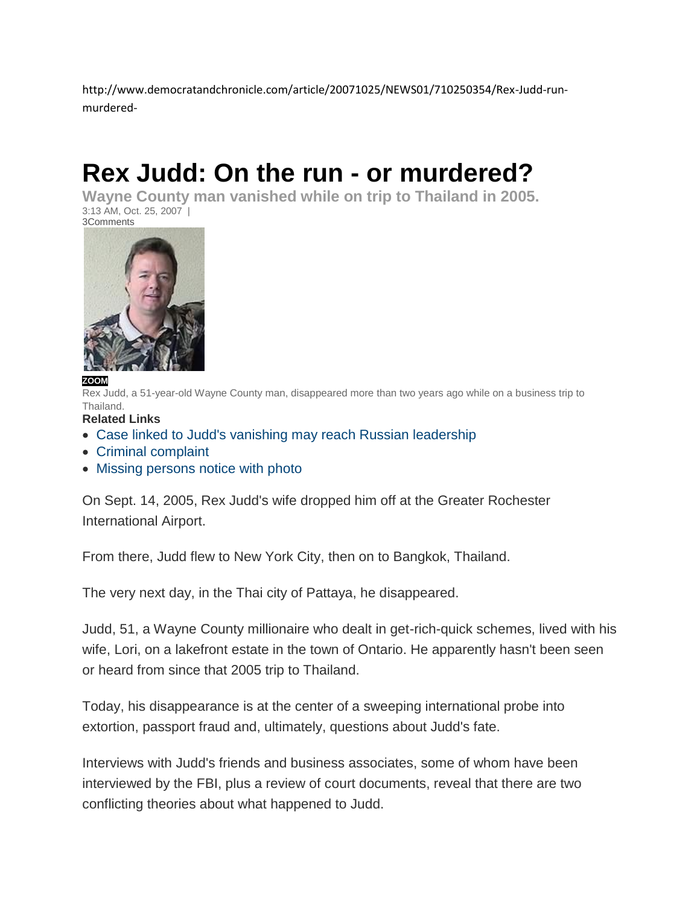http://www.democratandchronicle.com/article/20071025/NEWS01/710250354/Rex-Judd-runmurdered-

# **Rex Judd: On the run - or murdered?**

**Wayne County man vanished while on trip to Thailand in 2005.** 3:13 AM, Oct. 25, 2007 | [3Comments](http://www.democratandchronicle.com/comments/article/20071025/NEWS01/710250354/Rex-Judd-run-murdered-)



#### **[ZOOM](javascript:void(null);)**

Rex Judd, a 51-year-old Wayne County man, disappeared more than two years ago while on a business trip to Thailand.

**Related Links**

- [Case linked to Judd's vanishing may reach Russian leadership](http://www.democratandchronicle.com/article/20071025/NEWS01/710250355)
- [Criminal complaint](http://www.democratandchronicle.com/assets/pdf/A2889061025.PDF)
- [Missing persons notice with photo](http://pattayacitythailand.net/missingpersons/rex-judd.html)

On Sept. 14, 2005, Rex Judd's wife dropped him off at the Greater Rochester International Airport.

From there, Judd flew to New York City, then on to Bangkok, Thailand.

The very next day, in the Thai city of Pattaya, he disappeared.

Judd, 51, a Wayne County millionaire who dealt in get-rich-quick schemes, lived with his wife, Lori, on a lakefront estate in the town of Ontario. He apparently hasn't been seen or heard from since that 2005 trip to Thailand.

Today, his disappearance is at the center of a sweeping international probe into extortion, passport fraud and, ultimately, questions about Judd's fate.

Interviews with Judd's friends and business associates, some of whom have been interviewed by the FBI, plus a review of court documents, reveal that there are two conflicting theories about what happened to Judd.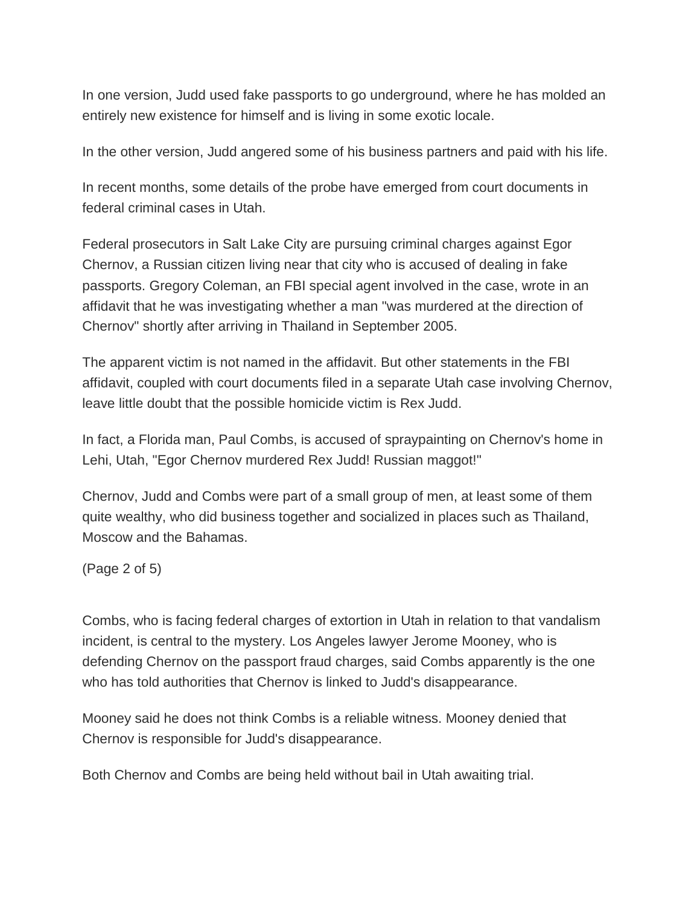In one version, Judd used fake passports to go underground, where he has molded an entirely new existence for himself and is living in some exotic locale.

In the other version, Judd angered some of his business partners and paid with his life.

In recent months, some details of the probe have emerged from court documents in federal criminal cases in Utah.

Federal prosecutors in Salt Lake City are pursuing criminal charges against Egor Chernov, a Russian citizen living near that city who is accused of dealing in fake passports. Gregory Coleman, an FBI special agent involved in the case, wrote in an affidavit that he was investigating whether a man "was murdered at the direction of Chernov" shortly after arriving in Thailand in September 2005.

The apparent victim is not named in the affidavit. But other statements in the FBI affidavit, coupled with court documents filed in a separate Utah case involving Chernov, leave little doubt that the possible homicide victim is Rex Judd.

In fact, a Florida man, Paul Combs, is accused of spraypainting on Chernov's home in Lehi, Utah, "Egor Chernov murdered Rex Judd! Russian maggot!"

Chernov, Judd and Combs were part of a small group of men, at least some of them quite wealthy, who did business together and socialized in places such as Thailand, Moscow and the Bahamas.

(Page 2 of 5)

Combs, who is facing federal charges of extortion in Utah in relation to that vandalism incident, is central to the mystery. Los Angeles lawyer Jerome Mooney, who is defending Chernov on the passport fraud charges, said Combs apparently is the one who has told authorities that Chernov is linked to Judd's disappearance.

Mooney said he does not think Combs is a reliable witness. Mooney denied that Chernov is responsible for Judd's disappearance.

Both Chernov and Combs are being held without bail in Utah awaiting trial.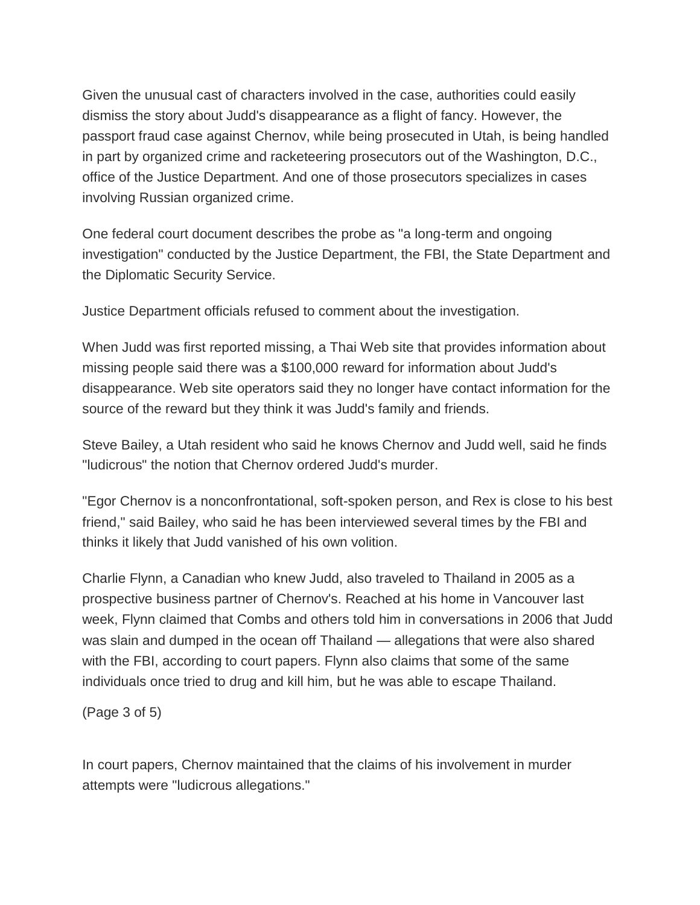Given the unusual cast of characters involved in the case, authorities could easily dismiss the story about Judd's disappearance as a flight of fancy. However, the passport fraud case against Chernov, while being prosecuted in Utah, is being handled in part by organized crime and racketeering prosecutors out of the Washington, D.C., office of the Justice Department. And one of those prosecutors specializes in cases involving Russian organized crime.

One federal court document describes the probe as "a long-term and ongoing investigation" conducted by the Justice Department, the FBI, the State Department and the Diplomatic Security Service.

Justice Department officials refused to comment about the investigation.

When Judd was first reported missing, a Thai Web site that provides information about missing people said there was a \$100,000 reward for information about Judd's disappearance. Web site operators said they no longer have contact information for the source of the reward but they think it was Judd's family and friends.

Steve Bailey, a Utah resident who said he knows Chernov and Judd well, said he finds "ludicrous" the notion that Chernov ordered Judd's murder.

"Egor Chernov is a nonconfrontational, soft-spoken person, and Rex is close to his best friend," said Bailey, who said he has been interviewed several times by the FBI and thinks it likely that Judd vanished of his own volition.

Charlie Flynn, a Canadian who knew Judd, also traveled to Thailand in 2005 as a prospective business partner of Chernov's. Reached at his home in Vancouver last week, Flynn claimed that Combs and others told him in conversations in 2006 that Judd was slain and dumped in the ocean off Thailand — allegations that were also shared with the FBI, according to court papers. Flynn also claims that some of the same individuals once tried to drug and kill him, but he was able to escape Thailand.

(Page 3 of 5)

In court papers, Chernov maintained that the claims of his involvement in murder attempts were "ludicrous allegations."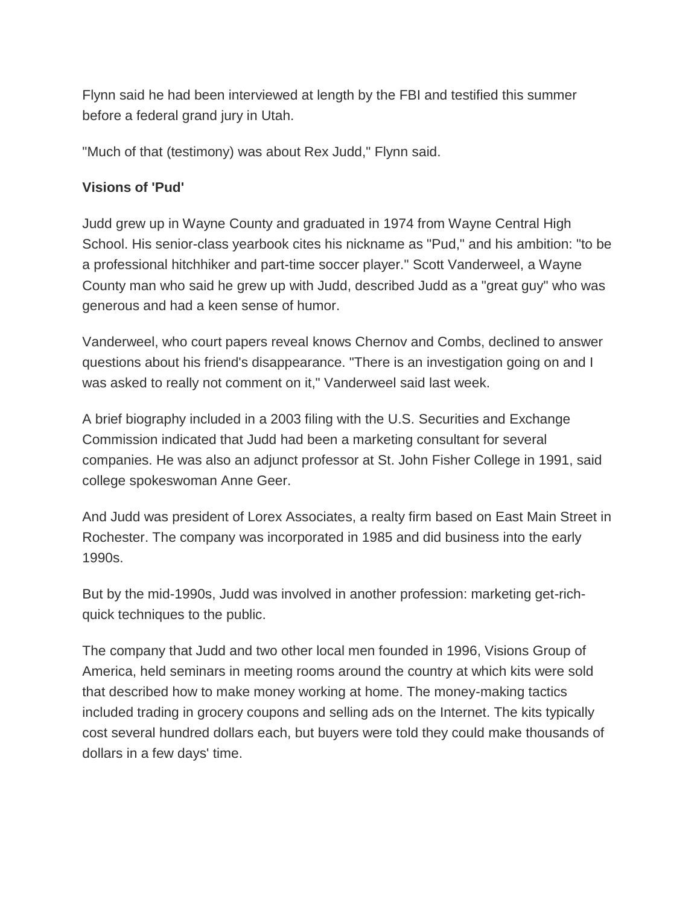Flynn said he had been interviewed at length by the FBI and testified this summer before a federal grand jury in Utah.

"Much of that (testimony) was about Rex Judd," Flynn said.

## **Visions of 'Pud'**

Judd grew up in Wayne County and graduated in 1974 from Wayne Central High School. His senior-class yearbook cites his nickname as "Pud," and his ambition: "to be a professional hitchhiker and part-time soccer player." Scott Vanderweel, a Wayne County man who said he grew up with Judd, described Judd as a "great guy" who was generous and had a keen sense of humor.

Vanderweel, who court papers reveal knows Chernov and Combs, declined to answer questions about his friend's disappearance. "There is an investigation going on and I was asked to really not comment on it," Vanderweel said last week.

A brief biography included in a 2003 filing with the U.S. Securities and Exchange Commission indicated that Judd had been a marketing consultant for several companies. He was also an adjunct professor at St. John Fisher College in 1991, said college spokeswoman Anne Geer.

And Judd was president of Lorex Associates, a realty firm based on East Main Street in Rochester. The company was incorporated in 1985 and did business into the early 1990s.

But by the mid-1990s, Judd was involved in another profession: marketing get-richquick techniques to the public.

The company that Judd and two other local men founded in 1996, Visions Group of America, held seminars in meeting rooms around the country at which kits were sold that described how to make money working at home. The money-making tactics included trading in grocery coupons and selling ads on the Internet. The kits typically cost several hundred dollars each, but buyers were told they could make thousands of dollars in a few days' time.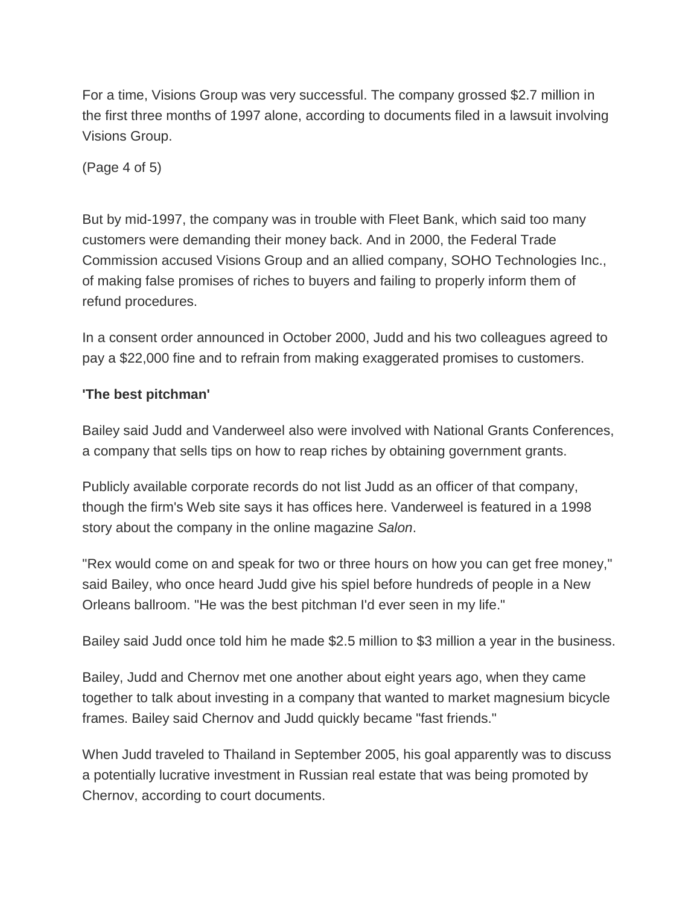For a time, Visions Group was very successful. The company grossed \$2.7 million in the first three months of 1997 alone, according to documents filed in a lawsuit involving Visions Group.

(Page 4 of 5)

But by mid-1997, the company was in trouble with Fleet Bank, which said too many customers were demanding their money back. And in 2000, the Federal Trade Commission accused Visions Group and an allied company, SOHO Technologies Inc., of making false promises of riches to buyers and failing to properly inform them of refund procedures.

In a consent order announced in October 2000, Judd and his two colleagues agreed to pay a \$22,000 fine and to refrain from making exaggerated promises to customers.

### **'The best pitchman'**

Bailey said Judd and Vanderweel also were involved with National Grants Conferences, a company that sells tips on how to reap riches by obtaining government grants.

Publicly available corporate records do not list Judd as an officer of that company, though the firm's Web site says it has offices here. Vanderweel is featured in a 1998 story about the company in the online magazine *Salon*.

"Rex would come on and speak for two or three hours on how you can get free money," said Bailey, who once heard Judd give his spiel before hundreds of people in a New Orleans ballroom. "He was the best pitchman I'd ever seen in my life."

Bailey said Judd once told him he made \$2.5 million to \$3 million a year in the business.

Bailey, Judd and Chernov met one another about eight years ago, when they came together to talk about investing in a company that wanted to market magnesium bicycle frames. Bailey said Chernov and Judd quickly became "fast friends."

When Judd traveled to Thailand in September 2005, his goal apparently was to discuss a potentially lucrative investment in Russian real estate that was being promoted by Chernov, according to court documents.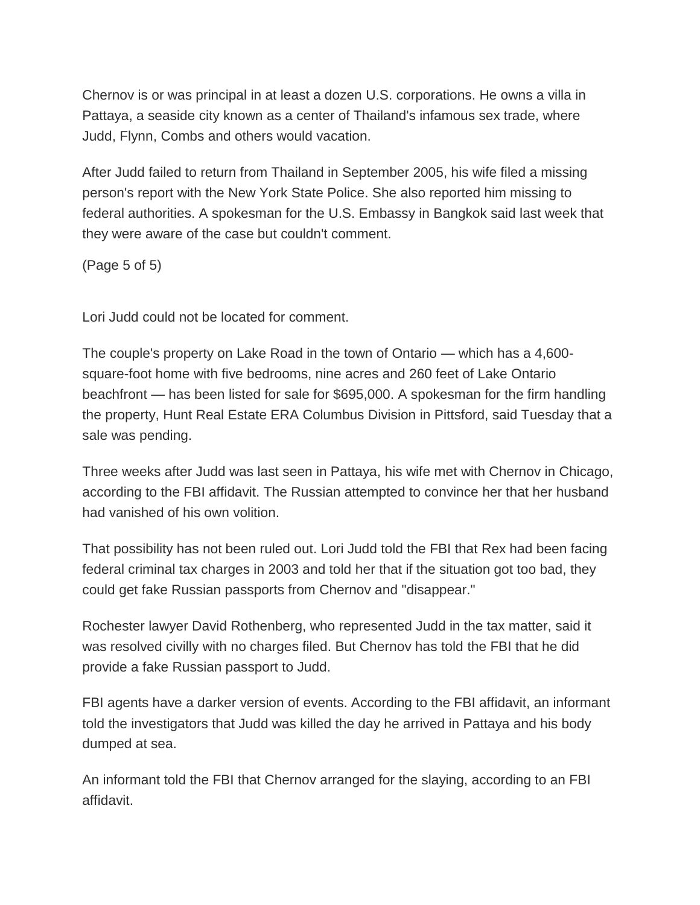Chernov is or was principal in at least a dozen U.S. corporations. He owns a villa in Pattaya, a seaside city known as a center of Thailand's infamous sex trade, where Judd, Flynn, Combs and others would vacation.

After Judd failed to return from Thailand in September 2005, his wife filed a missing person's report with the New York State Police. She also reported him missing to federal authorities. A spokesman for the U.S. Embassy in Bangkok said last week that they were aware of the case but couldn't comment.

(Page 5 of 5)

Lori Judd could not be located for comment.

The couple's property on Lake Road in the town of Ontario — which has a 4,600 square-foot home with five bedrooms, nine acres and 260 feet of Lake Ontario beachfront — has been listed for sale for \$695,000. A spokesman for the firm handling the property, Hunt Real Estate ERA Columbus Division in Pittsford, said Tuesday that a sale was pending.

Three weeks after Judd was last seen in Pattaya, his wife met with Chernov in Chicago, according to the FBI affidavit. The Russian attempted to convince her that her husband had vanished of his own volition.

That possibility has not been ruled out. Lori Judd told the FBI that Rex had been facing federal criminal tax charges in 2003 and told her that if the situation got too bad, they could get fake Russian passports from Chernov and "disappear."

Rochester lawyer David Rothenberg, who represented Judd in the tax matter, said it was resolved civilly with no charges filed. But Chernov has told the FBI that he did provide a fake Russian passport to Judd.

FBI agents have a darker version of events. According to the FBI affidavit, an informant told the investigators that Judd was killed the day he arrived in Pattaya and his body dumped at sea.

An informant told the FBI that Chernov arranged for the slaying, according to an FBI affidavit.